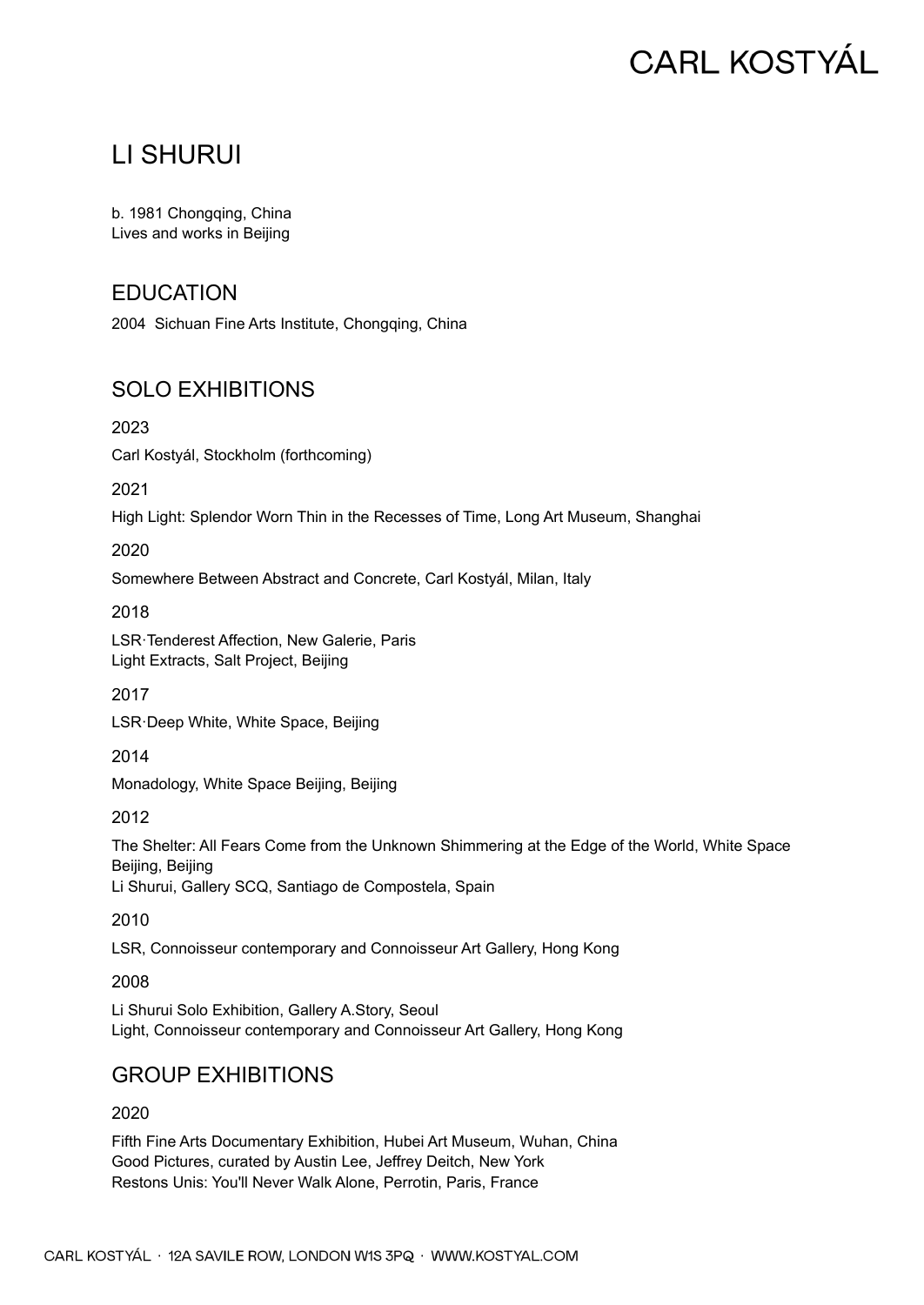# **CARL KOSTYÁL**

## LI SHURUI

b. 1981 Chongqing, China Lives and works in Beijing

## EDUCATION

2004 Sichuan Fine Arts Institute, Chongqing, China

## SOLO EXHIBITIONS

2023

Carl Kostyál, Stockholm (forthcoming)

2021

High Light: Splendor Worn Thin in the Recesses of Time, Long Art Museum, Shanghai

2020

Somewhere Between Abstract and Concrete, Carl Kostyál, Milan, Italy

2018

LSR·Tenderest Affection, New Galerie, Paris Light Extracts, Salt Project, Beijing

2017

LSR·Deep White, White Space, Beijing

2014

Monadology, White Space Beijing, Beijing

2012

The Shelter: All Fears Come from the Unknown Shimmering at the Edge of the World, White Space Beijing, Beijing Li Shurui, Gallery SCQ, Santiago de Compostela, Spain

2010

LSR, Connoisseur contemporary and Connoisseur Art Gallery, Hong Kong

2008

Li Shurui Solo Exhibition, Gallery A.Story, Seoul Light, Connoisseur contemporary and Connoisseur Art Gallery, Hong Kong

## GROUP EXHIBITIONS

2020

Fifth Fine Arts Documentary Exhibition, Hubei Art Museum, Wuhan, China Good Pictures, curated by Austin Lee, Jeffrey Deitch, New York Restons Unis: You'll Never Walk Alone, Perrotin, Paris, France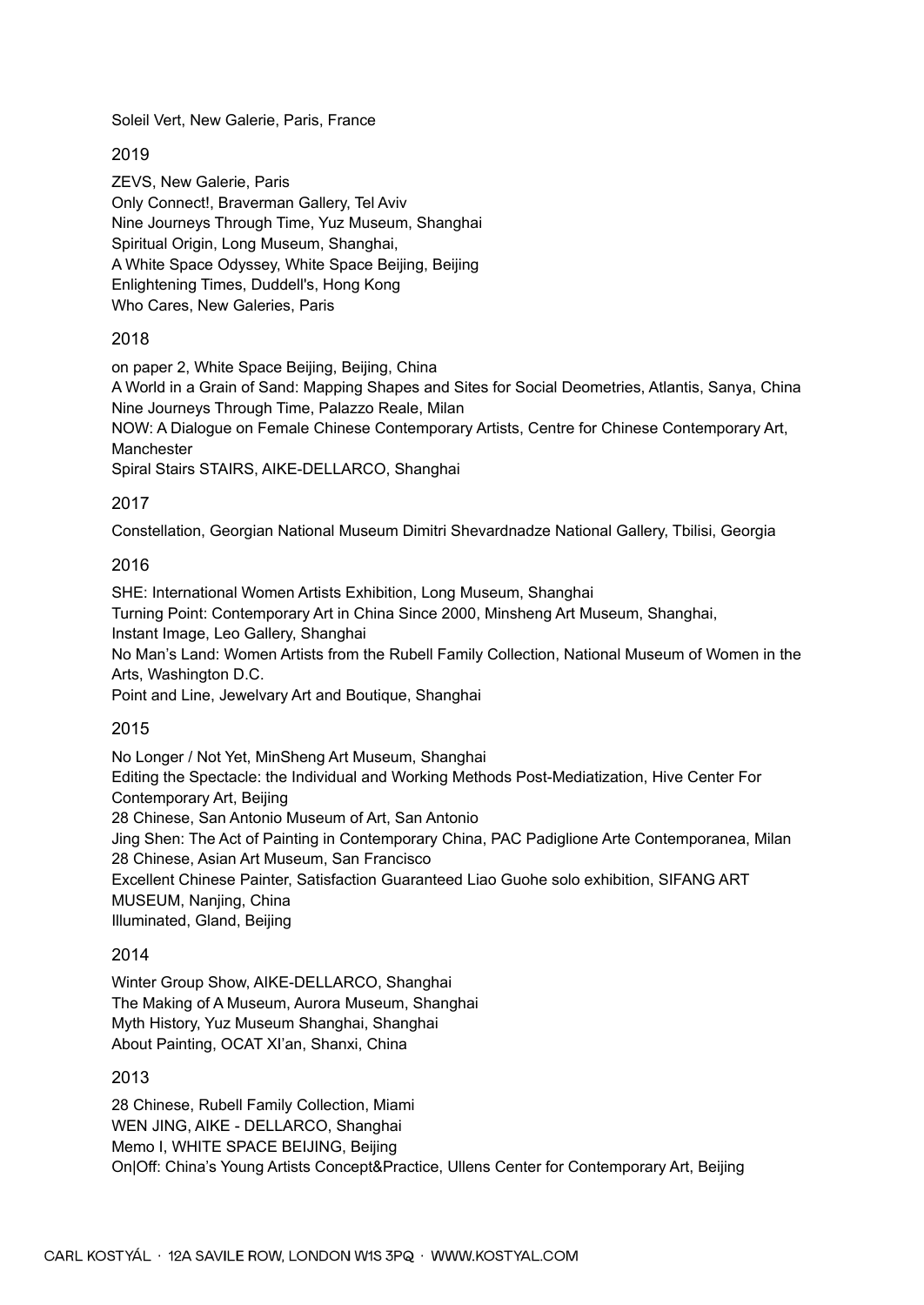Soleil Vert, New Galerie, Paris, France

#### 2019

ZEVS, New Galerie, Paris Only Connect!, Braverman Gallery, Tel Aviv Nine Journeys Through Time, Yuz Museum, Shanghai Spiritual Origin, Long Museum, Shanghai, A White Space Odyssey, White Space Beijing, Beijing Enlightening Times, Duddell's, Hong Kong Who Cares, New Galeries, Paris

#### 2018

on paper 2, White Space Beijing, Beijing, China

A World in a Grain of Sand: Mapping Shapes and Sites for Social Deometries, Atlantis, Sanya, China Nine Journeys Through Time, Palazzo Reale, Milan

NOW: A Dialogue on Female Chinese Contemporary Artists, Centre for Chinese Contemporary Art, Manchester

Spiral Stairs STAIRS, AIKE-DELLARCO, Shanghai

#### 2017

Constellation, Georgian National Museum Dimitri Shevardnadze National Gallery, Tbilisi, Georgia

#### 2016

SHE: International Women Artists Exhibition, Long Museum, Shanghai

Turning Point: Contemporary Art in China Since 2000, Minsheng Art Museum, Shanghai,

Instant Image, Leo Gallery, Shanghai

No Man's Land: Women Artists from the Rubell Family Collection, National Museum of Women in the Arts, Washington D.C.

Point and Line, Jewelvary Art and Boutique, Shanghai

#### 2015

No Longer / Not Yet, MinSheng Art Museum, Shanghai Editing the Spectacle: the Individual and Working Methods Post-Mediatization, Hive Center For Contemporary Art, Beijing 28 Chinese, San Antonio Museum of Art, San Antonio Jing Shen: The Act of Painting in Contemporary China, PAC Padiglione Arte Contemporanea, Milan 28 Chinese, Asian Art Museum, San Francisco Excellent Chinese Painter, Satisfaction Guaranteed Liao Guohe solo exhibition, SIFANG ART MUSEUM, Nanjing, China Illuminated, Gland, Beijing

#### 2014

Winter Group Show, AIKE-DELLARCO, Shanghai The Making of A Museum, Aurora Museum, Shanghai Myth History, Yuz Museum Shanghai, Shanghai About Painting, OCAT XI'an, Shanxi, China

#### 2013

28 Chinese, Rubell Family Collection, Miami WEN JING, AIKE - DELLARCO, Shanghai Memo I, WHITE SPACE BEIJING, Beijing On|Off: China's Young Artists Concept&Practice, Ullens Center for Contemporary Art, Beijing